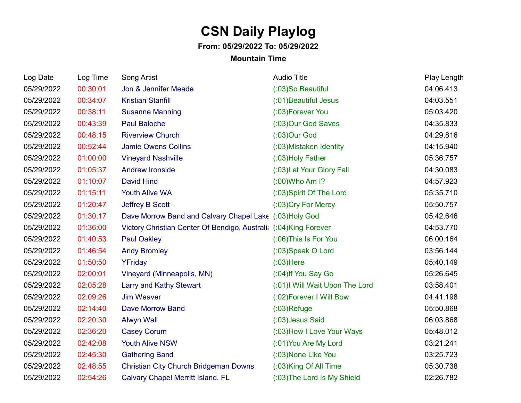## **CSN Daily Playlog**

## **From: 05/29/2022 To: 05/29/2022**

## **Mountain Time**

| Log Date   | Log Time | Song Artist                                                       | <b>Audio Title</b>            | Play Length |
|------------|----------|-------------------------------------------------------------------|-------------------------------|-------------|
| 05/29/2022 | 00:30:01 | Jon & Jennifer Meade                                              | (:03)So Beautiful             | 04:06.413   |
| 05/29/2022 | 00:34:07 | <b>Kristian Stanfill</b>                                          | (:01) Beautiful Jesus         | 04:03.551   |
| 05/29/2022 | 00:38:11 | <b>Susanne Manning</b>                                            | (:03) Forever You             | 05:03.420   |
| 05/29/2022 | 00:43:39 | <b>Paul Baloche</b>                                               | (:03)Our God Saves            | 04:35.833   |
| 05/29/2022 | 00:48:15 | <b>Riverview Church</b>                                           | $(03)$ Our God                | 04:29.816   |
| 05/29/2022 | 00:52:44 | <b>Jamie Owens Collins</b>                                        | (:03) Mistaken Identity       | 04:15.940   |
| 05/29/2022 | 01:00:00 | <b>Vineyard Nashville</b>                                         | (:03) Holy Father             | 05:36.757   |
| 05/29/2022 | 01:05:37 | <b>Andrew Ironside</b>                                            | (:03) Let Your Glory Fall     | 04:30.083   |
| 05/29/2022 | 01:10:07 | <b>David Hind</b>                                                 | (:00) Who Am 1?               | 04:57.923   |
| 05/29/2022 | 01:15:11 | <b>Youth Alive WA</b>                                             | (:03) Spirit Of The Lord      | 05:35.710   |
| 05/29/2022 | 01:20:47 | <b>Jeffrey B Scott</b>                                            | (:03) Cry For Mercy           | 05:50.757   |
| 05/29/2022 | 01:30:17 | Dave Morrow Band and Calvary Chapel Lake (:03)Holy God            |                               | 05:42.646   |
| 05/29/2022 | 01:36:00 | Victory Christian Center Of Bendigo, Australia (:04) King Forever |                               | 04:53.770   |
| 05/29/2022 | 01:40:53 | <b>Paul Oakley</b>                                                | (:06) This Is For You         | 06:00.164   |
| 05/29/2022 | 01:46:54 | <b>Andy Bromley</b>                                               | (:03) Speak O Lord            | 03:56.144   |
| 05/29/2022 | 01:50:50 | YFriday                                                           | $(03)$ Here                   | 05:40.149   |
| 05/29/2022 | 02:00:01 | Vineyard (Minneapolis, MN)                                        | (:04) If You Say Go           | 05:26.645   |
| 05/29/2022 | 02:05:28 | <b>Larry and Kathy Stewart</b>                                    | (:01) Will Wait Upon The Lord | 03:58.401   |
| 05/29/2022 | 02:09:26 | <b>Jim Weaver</b>                                                 | (:02) Forever I Will Bow      | 04:41.198   |
| 05/29/2022 | 02:14:40 | <b>Dave Morrow Band</b>                                           | $(03)$ Refuge                 | 05:50.868   |
| 05/29/2022 | 02:20:30 | <b>Alwyn Wall</b>                                                 | (:03) Jesus Said              | 06:03.868   |
| 05/29/2022 | 02:36:20 | <b>Casey Corum</b>                                                | (:03) How I Love Your Ways    | 05:48.012   |
| 05/29/2022 | 02:42:08 | <b>Youth Alive NSW</b>                                            | (:01) You Are My Lord         | 03:21.241   |
| 05/29/2022 | 02:45:30 | <b>Gathering Band</b>                                             | (:03) None Like You           | 03:25.723   |
| 05/29/2022 | 02:48:55 | <b>Christian City Church Bridgeman Downs</b>                      | (:03)King Of All Time         | 05:30.738   |
| 05/29/2022 | 02:54:26 | <b>Calvary Chapel Merritt Island, FL</b>                          | (:03) The Lord Is My Shield   | 02:26.782   |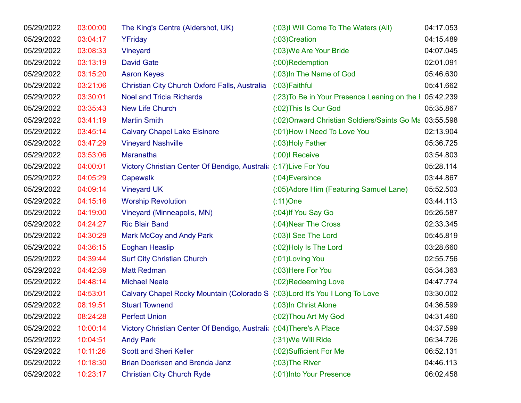| 05/29/2022 | 03:00:00 | The King's Centre (Aldershot, UK)                                            | (:03) Will Come To The Waters (All)                     | 04:17.053 |
|------------|----------|------------------------------------------------------------------------------|---------------------------------------------------------|-----------|
| 05/29/2022 | 03:04:17 | YFriday                                                                      | $(03)$ Creation                                         | 04:15.489 |
| 05/29/2022 | 03:08:33 | Vineyard                                                                     | (:03) We Are Your Bride                                 | 04:07.045 |
| 05/29/2022 | 03:13:19 | <b>David Gate</b>                                                            | $(0.00)$ Redemption                                     | 02:01.091 |
| 05/29/2022 | 03:15:20 | <b>Aaron Keyes</b>                                                           | (:03)In The Name of God                                 | 05:46.630 |
| 05/29/2022 | 03:21:06 | Christian City Church Oxford Falls, Australia                                | $(03)$ Faithful                                         | 05:41.662 |
| 05/29/2022 | 03:30:01 | <b>Noel and Tricia Richards</b>                                              | (:23) To Be in Your Presence Leaning on the I 05:42.239 |           |
| 05/29/2022 | 03:35:43 | <b>New Life Church</b>                                                       | (:02) This Is Our God                                   | 05:35.867 |
| 05/29/2022 | 03:41:19 | <b>Martin Smith</b>                                                          | (:02) Onward Christian Soldiers/Saints Go Ma 03:55.598  |           |
| 05/29/2022 | 03:45:14 | <b>Calvary Chapel Lake Elsinore</b>                                          | (:01) How I Need To Love You                            | 02:13.904 |
| 05/29/2022 | 03:47:29 | <b>Vineyard Nashville</b>                                                    | (:03) Holy Father                                       | 05:36.725 |
| 05/29/2022 | 03:53:06 | Maranatha                                                                    | (:00)I Receive                                          | 03:54.803 |
| 05/29/2022 | 04:00:01 | Victory Christian Center Of Bendigo, Australi: (:17) Live For You            |                                                         | 05:28.114 |
| 05/29/2022 | 04:05:29 | Capewalk                                                                     | $(0.04)$ Eversince                                      | 03:44.867 |
| 05/29/2022 | 04:09:14 | <b>Vineyard UK</b>                                                           | (:05) Adore Him (Featuring Samuel Lane)                 | 05:52.503 |
| 05/29/2022 | 04:15:16 | <b>Worship Revolution</b>                                                    | $(11)$ One                                              | 03:44.113 |
| 05/29/2022 | 04:19:00 | Vineyard (Minneapolis, MN)                                                   | (:04) If You Say Go                                     | 05:26.587 |
| 05/29/2022 | 04:24:27 | <b>Ric Blair Band</b>                                                        | (:04) Near The Cross                                    | 02:33.345 |
| 05/29/2022 | 04:30:29 | <b>Mark McCoy and Andy Park</b>                                              | (:03)I See The Lord                                     | 05:45.819 |
| 05/29/2022 | 04:36:15 | <b>Eoghan Heaslip</b>                                                        | (:02) Holy Is The Lord                                  | 03:28.660 |
| 05/29/2022 | 04:39:44 | <b>Surf City Christian Church</b>                                            | (:01) Loving You                                        | 02:55.756 |
| 05/29/2022 | 04:42:39 | <b>Matt Redman</b>                                                           | (:03) Here For You                                      | 05:34.363 |
| 05/29/2022 | 04:48:14 | <b>Michael Neale</b>                                                         | (:02)Redeeming Love                                     | 04:47.774 |
| 05/29/2022 | 04:53:01 | Calvary Chapel Rocky Mountain (Colorado S (:03) Lord It's You I Long To Love |                                                         | 03:30.002 |
| 05/29/2022 | 08:19:51 | <b>Stuart Townend</b>                                                        | (:03)In Christ Alone                                    | 04:36.599 |
| 05/29/2022 | 08:24:28 | <b>Perfect Union</b>                                                         | (:02) Thou Art My God                                   | 04:31.460 |
| 05/29/2022 | 10:00:14 | Victory Christian Center Of Bendigo, Australi: (:04) There's A Place         |                                                         | 04:37.599 |
| 05/29/2022 | 10:04:51 | <b>Andy Park</b>                                                             | (:31) We Will Ride                                      | 06:34.726 |
| 05/29/2022 | 10:11:26 | <b>Scott and Sheri Keller</b>                                                | (:02)Sufficient For Me                                  | 06:52.131 |
| 05/29/2022 | 10:18:30 | Brian Doerksen and Brenda Janz                                               | $(0.03)$ The River                                      | 04:46.113 |
| 05/29/2022 | 10:23:17 | <b>Christian City Church Ryde</b>                                            | (:01) Into Your Presence                                | 06:02.458 |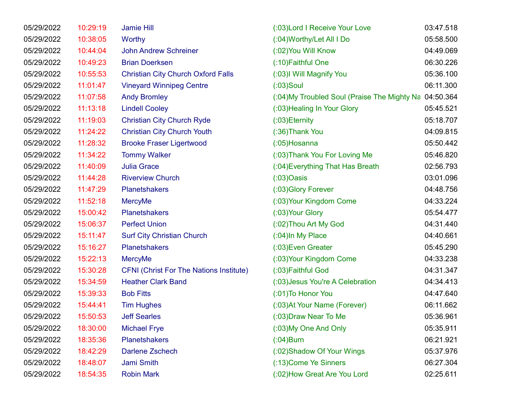| 05/29/2022 | 10:29:19 | <b>Jamie Hill</b>                              | (:03) Lord I Receive Your Love               | 03:47.518 |
|------------|----------|------------------------------------------------|----------------------------------------------|-----------|
| 05/29/2022 | 10:38:05 | <b>Worthy</b>                                  | (:04) Worthy/Let All I Do                    | 05:58.500 |
| 05/29/2022 | 10:44:04 | <b>John Andrew Schreiner</b>                   | (:02) You Will Know                          | 04:49.069 |
| 05/29/2022 | 10:49:23 | <b>Brian Doerksen</b>                          | (:10) Faithful One                           | 06:30.226 |
| 05/29/2022 | 10:55:53 | <b>Christian City Church Oxford Falls</b>      | (:03)I Will Magnify You                      | 05:36.100 |
| 05/29/2022 | 11:01:47 | <b>Vineyard Winnipeg Centre</b>                | $(03)$ Soul                                  | 06:11.300 |
| 05/29/2022 | 11:07:58 | <b>Andy Bromley</b>                            | (:04) My Troubled Soul (Praise The Mighty Na | 04:50.364 |
| 05/29/2022 | 11:13:18 | <b>Lindell Cooley</b>                          | (:03) Healing In Your Glory                  | 05:45.521 |
| 05/29/2022 | 11:19:03 | <b>Christian City Church Ryde</b>              | $(03)$ Eternity                              | 05:18.707 |
| 05/29/2022 | 11:24:22 | <b>Christian City Church Youth</b>             | (:36) Thank You                              | 04:09.815 |
| 05/29/2022 | 11:28:32 | <b>Brooke Fraser Ligertwood</b>                | $(0.05)$ Hosanna                             | 05:50.442 |
| 05/29/2022 | 11:34:22 | <b>Tommy Walker</b>                            | (:03) Thank You For Loving Me                | 05:46.820 |
| 05/29/2022 | 11:40:09 | <b>Julia Grace</b>                             | (:04) Everything That Has Breath             | 02:56.793 |
| 05/29/2022 | 11:44:28 | <b>Riverview Church</b>                        | $(03)$ Oasis                                 | 03:01.096 |
| 05/29/2022 | 11:47:29 | <b>Planetshakers</b>                           | (:03) Glory Forever                          | 04:48.756 |
| 05/29/2022 | 11:52:18 | <b>MercyMe</b>                                 | (:03) Your Kingdom Come                      | 04:33.224 |
| 05/29/2022 | 15:00:42 | <b>Planetshakers</b>                           | (:03) Your Glory                             | 05:54.477 |
| 05/29/2022 | 15:06:37 | <b>Perfect Union</b>                           | (:02) Thou Art My God                        | 04:31.440 |
| 05/29/2022 | 15:11:47 | <b>Surf City Christian Church</b>              | $(.04)$ In My Place                          | 04:40.661 |
| 05/29/2022 | 15:16:27 | <b>Planetshakers</b>                           | (:03) Even Greater                           | 05:45.290 |
| 05/29/2022 | 15:22:13 | <b>MercyMe</b>                                 | (:03) Your Kingdom Come                      | 04:33.238 |
| 05/29/2022 | 15:30:28 | <b>CFNI (Christ For The Nations Institute)</b> | (:03) Faithful God                           | 04:31.347 |
| 05/29/2022 | 15:34:59 | <b>Heather Clark Band</b>                      | (:03) Jesus You're A Celebration             | 04:34.413 |
| 05/29/2022 | 15:39:33 | <b>Bob Fitts</b>                               | (:01) To Honor You                           | 04:47.640 |
| 05/29/2022 | 15:44:41 | <b>Tim Hughes</b>                              | (:03) At Your Name (Forever)                 | 06:11.662 |
| 05/29/2022 | 15:50:53 | <b>Jeff Searles</b>                            | (:03) Draw Near To Me                        | 05:36.961 |
| 05/29/2022 | 18:30:00 | <b>Michael Frye</b>                            | (:03) My One And Only                        | 05:35.911 |
| 05/29/2022 | 18:35:36 | <b>Planetshakers</b>                           | $($ :04)Burn                                 | 06:21.921 |
| 05/29/2022 | 18:42:29 | <b>Darlene Zschech</b>                         | (:02) Shadow Of Your Wings                   | 05:37.976 |
| 05/29/2022 | 18:48:07 | Jami Smith                                     | (:13) Come Ye Sinners                        | 06:27.304 |
| 05/29/2022 | 18:54:35 | <b>Robin Mark</b>                              | (:02) How Great Are You Lord                 | 02:25.611 |